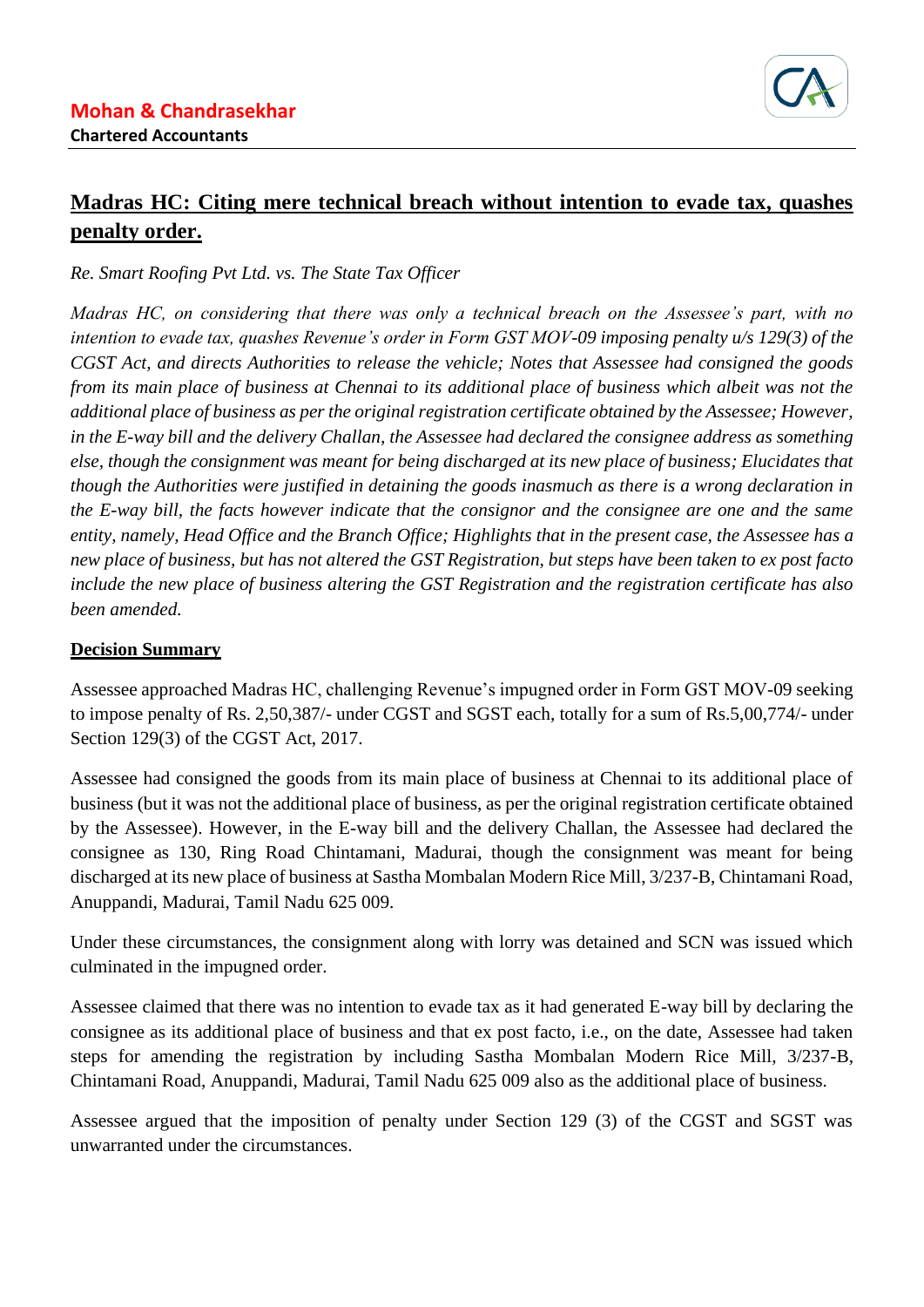

## **Madras HC: Citing mere technical breach without intention to evade tax, quashes penalty order.**

*Re. Smart Roofing Pvt Ltd. vs. The State Tax Officer*

*Madras HC, on considering that there was only a technical breach on the Assessee's part, with no intention to evade tax, quashes Revenue's order in Form GST MOV-09 imposing penalty u/s 129(3) of the CGST Act, and directs Authorities to release the vehicle; Notes that Assessee had consigned the goods from its main place of business at Chennai to its additional place of business which albeit was not the additional place of business as per the original registration certificate obtained by the Assessee; However, in the E-way bill and the delivery Challan, the Assessee had declared the consignee address as something else, though the consignment was meant for being discharged at its new place of business; Elucidates that though the Authorities were justified in detaining the goods inasmuch as there is a wrong declaration in the E-way bill, the facts however indicate that the consignor and the consignee are one and the same entity, namely, Head Office and the Branch Office; Highlights that in the present case, the Assessee has a new place of business, but has not altered the GST Registration, but steps have been taken to ex post facto include the new place of business altering the GST Registration and the registration certificate has also been amended.*

## **Decision Summary**

Assessee approached Madras HC, challenging Revenue's impugned order in Form GST MOV-09 seeking to impose penalty of Rs. 2,50,387/- under CGST and SGST each, totally for a sum of Rs.5,00,774/- under Section 129(3) of the CGST Act, 2017.

Assessee had consigned the goods from its main place of business at Chennai to its additional place of business (but it was not the additional place of business, as per the original registration certificate obtained by the Assessee). However, in the E-way bill and the delivery Challan, the Assessee had declared the consignee as 130, Ring Road Chintamani, Madurai, though the consignment was meant for being discharged at its new place of business at Sastha Mombalan Modern Rice Mill, 3/237-B, Chintamani Road, Anuppandi, Madurai, Tamil Nadu 625 009.

Under these circumstances, the consignment along with lorry was detained and SCN was issued which culminated in the impugned order.

Assessee claimed that there was no intention to evade tax as it had generated E-way bill by declaring the consignee as its additional place of business and that ex post facto, i.e., on the date, Assessee had taken steps for amending the registration by including Sastha Mombalan Modern Rice Mill, 3/237-B, Chintamani Road, Anuppandi, Madurai, Tamil Nadu 625 009 also as the additional place of business.

Assessee argued that the imposition of penalty under Section 129 (3) of the CGST and SGST was unwarranted under the circumstances.